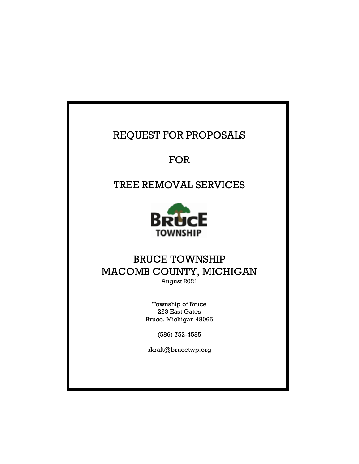## REQUEST FOR PROPOSALS

FOR

## TREE REMOVAL SERVICES



### BRUCE TOWNSHIP MACOMB COUNTY, MICHIGAN August 2021

Township of Bruce 223 East Gates Bruce, Michigan 48065

(586) 752-4585

skraft@brucetwp.org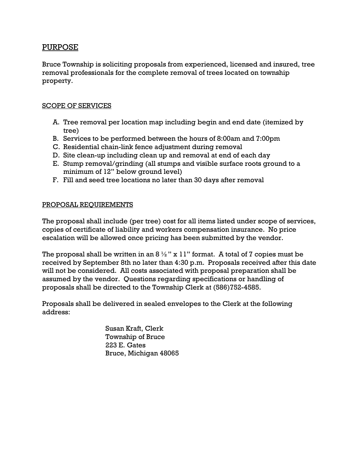#### PURPOSE

Bruce Township is soliciting proposals from experienced, licensed and insured, tree removal professionals for the complete removal of trees located on township property.

#### SCOPE OF SERVICES

- A. Tree removal per location map including begin and end date (itemized by tree)
- B. Services to be performed between the hours of 8:00am and 7:00pm
- C. Residential chain-link fence adjustment during removal
- D. Site clean-up including clean up and removal at end of each day
- E. Stump removal/grinding (all stumps and visible surface roots ground to a minimum of 12" below ground level)
- F. Fill and seed tree locations no later than 30 days after removal

#### PROPOSAL REQUIREMENTS

The proposal shall include (per tree) cost for all items listed under scope of services, copies of certificate of liability and workers compensation insurance. No price escalation will be allowed once pricing has been submitted by the vendor.

The proposal shall be written in an  $8\frac{1}{2}$ " x 11" format. A total of 7 copies must be received by September 8th no later than 4:30 p.m. Proposals received after this date will not be considered. All costs associated with proposal preparation shall be assumed by the vendor. Questions regarding specifications or handling of proposals shall be directed to the Township Clerk at (586)752-4585.

Proposals shall be delivered in sealed envelopes to the Clerk at the following address:

> Susan Kraft, Clerk Township of Bruce 223 E. Gates Bruce, Michigan 48065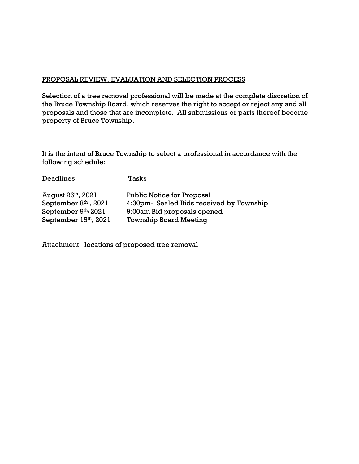#### PROPOSAL REVIEW, EVALUATION AND SELECTION PROCESS

Selection of a tree removal professional will be made at the complete discretion of the Bruce Township Board, which reserves the right to accept or reject any and all proposals and those that are incomplete. All submissions or parts thereof become property of Bruce Township.

It is the intent of Bruce Township to select a professional in accordance with the following schedule:

| Deadlines                      | Tasks                                    |
|--------------------------------|------------------------------------------|
| August 26 <sup>th</sup> , 2021 | <b>Public Notice for Proposal</b>        |
| September $8th$ , 2021         | 4:30pm- Sealed Bids received by Township |
| September 9th, 2021            | 9:00am Bid proposals opened              |
| September 15th, 2021           | <b>Township Board Meeting</b>            |

Attachment: locations of proposed tree removal